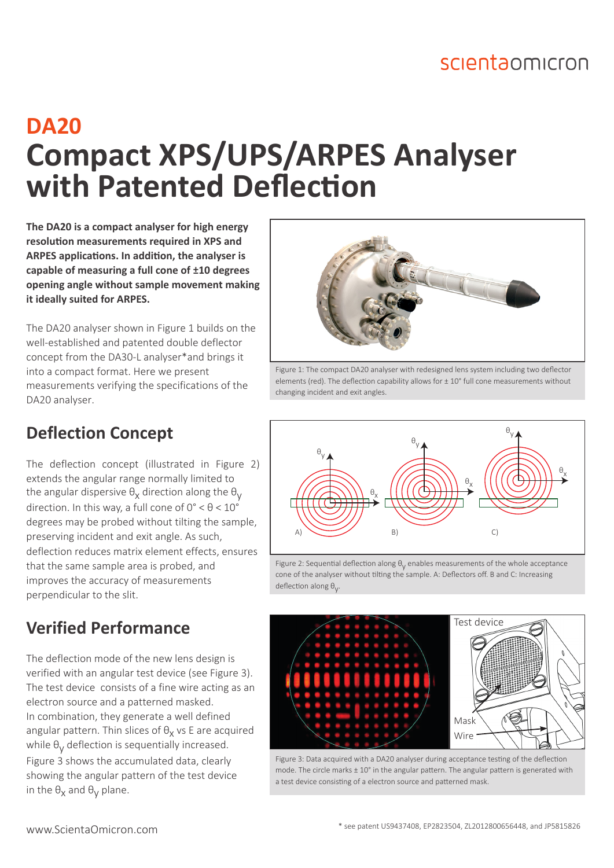## scientaomicron

# **DA20 Compact XPS/UPS/ARPES Analyser with Patented Deflection**

**The DA20 is a compact analyser for high energy resolution measurements required in XPS and ARPES applications. In addition, the analyser is capable of measuring a full cone of ±10 degrees opening angle without sample movement making it ideally suited for ARPES.** 

The DA20 analyser shown in Figure 1 builds on the well-established and patented double deflector concept from the DA30-L analyser\*and brings it into a compact format. Here we present measurements verifying the specifications of the DA20 analyser.

#### **Deflection Concept**

The deflection concept (illustrated in Figure 2) extends the angular range normally limited to the angular dispersive  $\theta_\mathsf{X}$  direction along the  $\theta_\mathsf{Y}$ direction. In this way, a full cone of  $0^{\circ} < \theta < 10^{\circ}$ degrees may be probed without tilting the sample, preserving incident and exit angle. As such, deflection reduces matrix element effects, ensures that the same sample area is probed, and improves the accuracy of measurements perpendicular to the slit.

### **Verified Performance**

The deflection mode of the new lens design is verified with an angular test device (see Figure 3). The test device consists of a fine wire acting as an electron source and a patterned masked. In combination, they generate a well defined angular pattern. Thin slices of  $\theta_x$  vs E are acquired while  $\theta_\mathsf{y}$  deflection is sequentially increased. Figure 3 shows the accumulated data, clearly showing the angular pattern of the test device in the  $\theta_X$  and  $\theta_Y$  plane.



Figure 1: The compact DA20 analyser with redesigned lens system including two deflector elements (red). The deflection capability allows for  $\pm$  10° full cone measurements without changing incident and exit angles.



Figure 2: Sequential deflection along  $\theta_{\rm V}$  enables measurements of the whole acceptance cone of the analyser without tilting the sample. A: Deflectors off. B and C: Increasing deflection along θ<sub>ν</sub>.



Figure 3: Data acquired with a DA20 analyser during acceptance testing of the deflection mode. The circle marks  $\pm 10^{\circ}$  in the angular pattern. The angular pattern is generated with a test device consisting of a electron source and patterned mask.